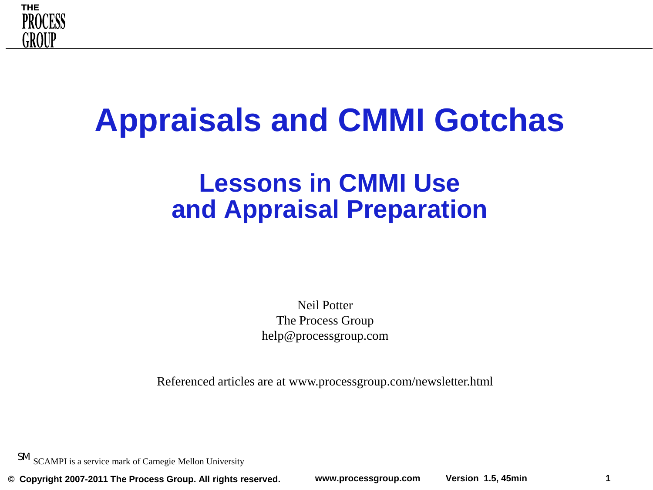

# **Appraisals and CMMI Gotchas**

### **Lessons in CMMI Use and Appraisal Preparation**

Neil Potter The Process Group help@processgroup.com

Referenced articles are at www.processgroup.com/newsletter.html

SM SCAMPI is a service mark of Carnegie Mellon University

**© Copyright 2007-2011 The Process Group. All rights reserved. www.processgroup.com Version 1.5, 45min 1**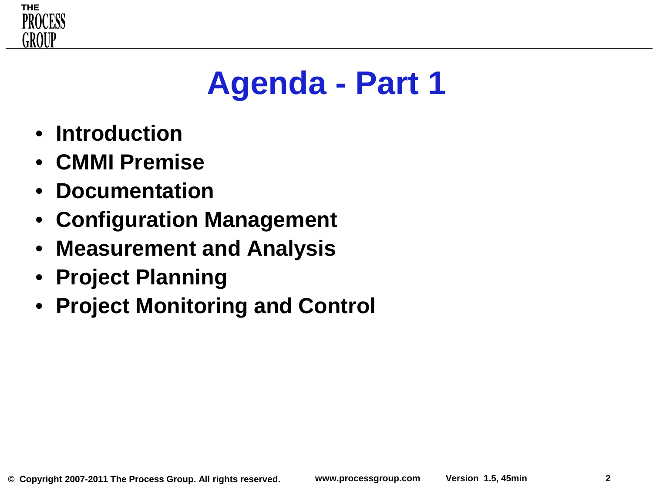

# **Agenda - Part 1**

- **Introduction**
- **CMMI Premise**
- **Documentation**
- **Configuration Management**
- **Measurement and Analysis**
- **Project Planning**
- **Project Monitoring and Control**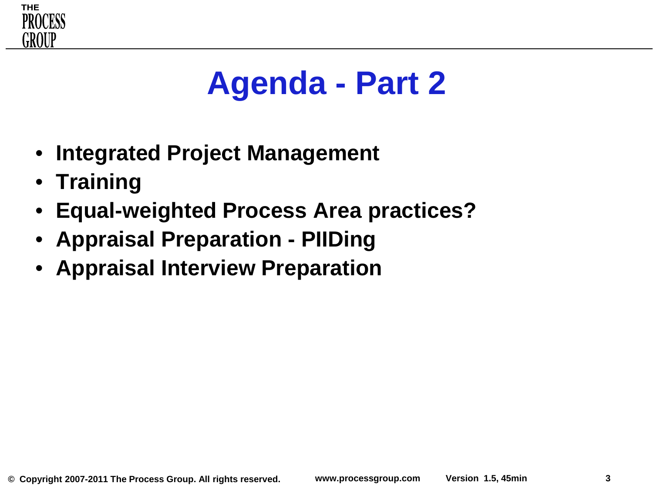

# **Agenda - Part 2**

- **Integrated Project Management**
- **Training**
- **Equal-weighted Process Area practices?**
- **Appraisal Preparation - PIIDing**
- **Appraisal Interview Preparation**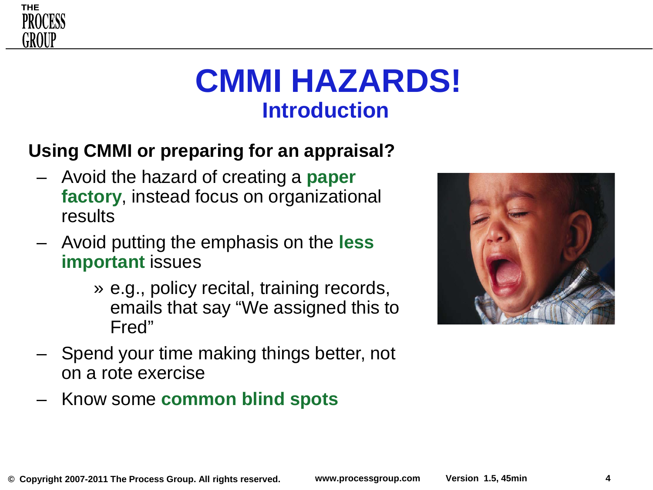# **CMMI HAZARDS! Introduction**

### **Using CMMI or preparing for an appraisal?**

- Avoid the hazard of creating a **paper factory**, instead focus on organizational results
- Avoid putting the emphasis on the **less important** issues
	- » e.g., policy recital, training records, emails that say "We assigned this to Fred"
- Spend your time making things better, not on a rote exercise
- Know some **common blind spots**



**THE** 

GROUF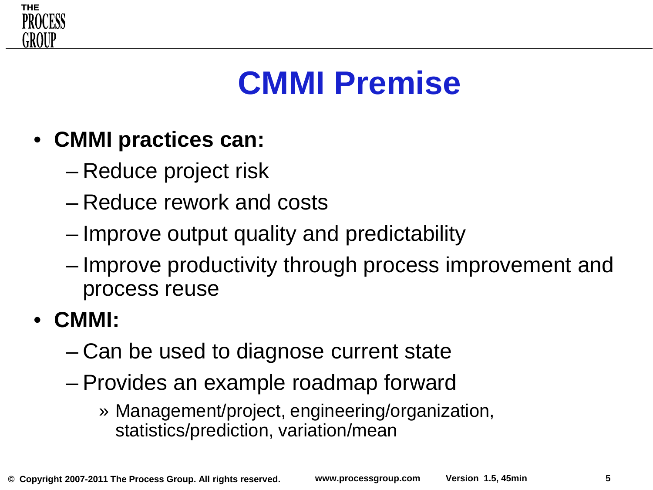

# **CMMI Premise**

- **CMMI practices can:**
	- Reduce project risk
	- Reduce rework and costs
	- Improve output quality and predictability
	- Improve productivity through process improvement and process reuse
- **CMMI:**
	- Can be used to diagnose current state
	- Provides an example roadmap forward
		- » Management/project, engineering/organization, statistics/prediction, variation/mean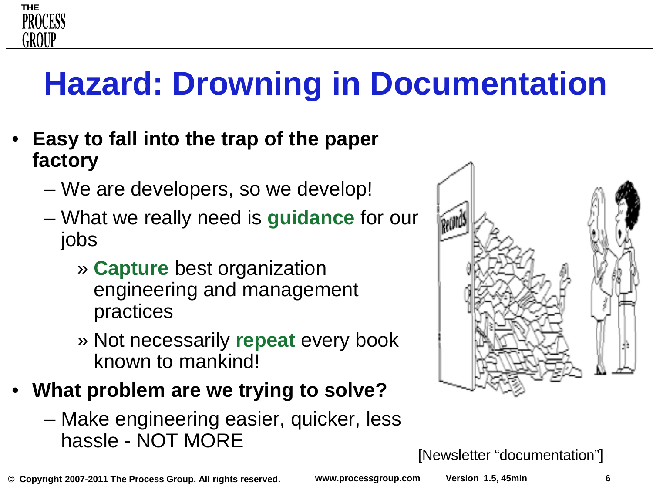# **Hazard: Drowning in Documentation**

• **Easy to fall into the trap of the paper factory**

**THE** 

PROCESS

GROUF

- We are developers, so we develop!
- What we really need is **guidance** for our jobs
	- » **Capture** best organization engineering and management practices
	- » Not necessarily **repeat** every book known to mankind!
- **What problem are we trying to solve?**
	- Make engineering easier, quicker, less hassle - NOT MORE



[Newsletter "documentation"]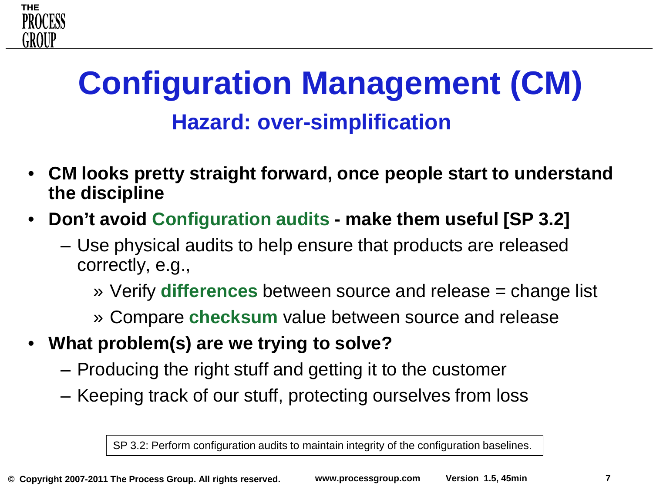# **Configuration Management (CM) Hazard: over-simplification**

- **CM looks pretty straight forward, once people start to understand the discipline**
- **Don't avoid Configuration audits - make them useful [SP 3.2]**
	- Use physical audits to help ensure that products are released correctly, e.g.,
		- » Verify **differences** between source and release = change list
		- » Compare **checksum** value between source and release
- **What problem(s) are we trying to solve?**

**THE** 

GROUF

- Producing the right stuff and getting it to the customer
- Keeping track of our stuff, protecting ourselves from loss

SP 3.2: Perform configuration audits to maintain integrity of the configuration baselines.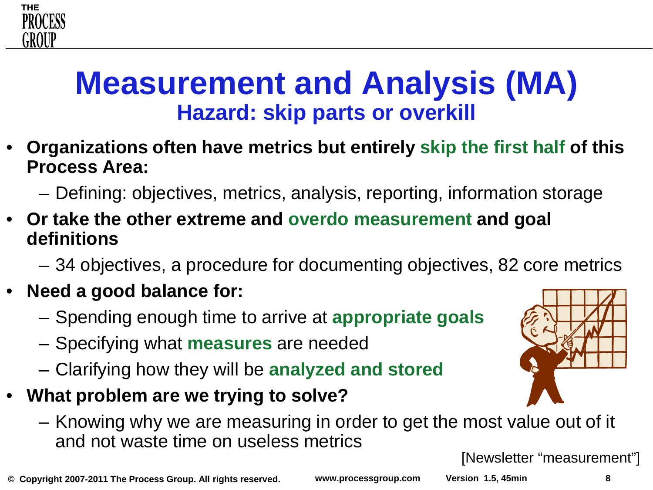# **Measurement and Analysis (MA) Hazard: skip parts or overkill**

- **Organizations often have metrics but entirely skip the first half of this Process Area:**
	- Defining: objectives, metrics, analysis, reporting, information storage
- **Or take the other extreme and overdo measurement and goal definitions**
	- 34 objectives, a procedure for documenting objectives, 82 core metrics
- **Need a good balance for:**
	- Spending enough time to arrive at **appropriate goals**
	- Specifying what **measures** are needed
	- Clarifying how they will be **analyzed and stored**
- **What problem are we trying to solve?**
	- Knowing why we are measuring in order to get the most value out of it and not waste time on useless metrics

[Newsletter "measurement"]

**© Copyright 2007-2011 The Process Group. All rights reserved. www.processgroup.com Version 1.5, 45min 8**



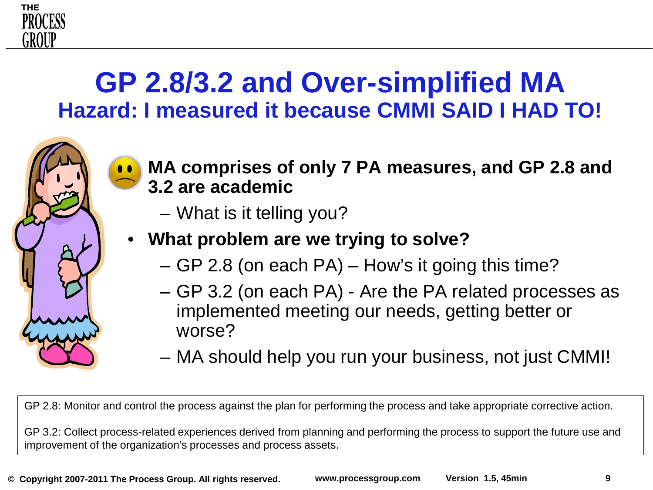

- **MA comprises of only 7 PA measures, and GP 2.8 and 3.2 are academic**
	- What is it telling you?

**THE** 

GROUF

#### • **What problem are we trying to solve?**

- GP 2.8 (on each PA) How's it going this time?
- GP 3.2 (on each PA) Are the PA related processes as implemented meeting our needs, getting better or worse?
- MA should help you run your business, not just CMMI!

GP 2.8: Monitor and control the process against the plan for performing the process and take appropriate corrective action.

GP 3.2: Collect process-related experiences derived from planning and performing the process to support the future use and improvement of the organization's processes and process assets.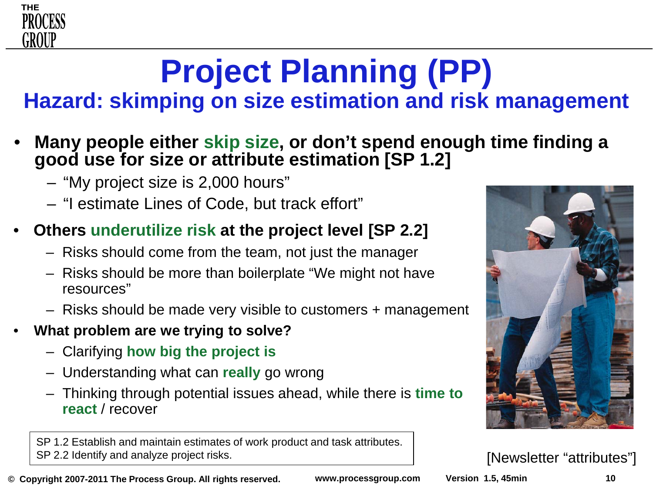### **Project Planning (PP) Hazard: skimping on size estimation and risk management**

### • **Many people either skip size, or don't spend enough time finding a good use for size or attribute estimation [SP 1.2]**

- "My project size is 2,000 hours"
- "I estimate Lines of Code, but track effort"

#### • **Others underutilize risk at the project level [SP 2.2]**

- Risks should come from the team, not just the manager
- Risks should be more than boilerplate "We might not have resources"
- Risks should be made very visible to customers + management
- **What problem are we trying to solve?**
	- Clarifying **how big the project is**
	- Understanding what can **really** go wrong
	- Thinking through potential issues ahead, while there is **time to react** / recover

SP 1.2 Establish and maintain estimates of work product and task attributes. SP 2.2 Identify and analyze project risks.

**© Copyright 2007-2011 The Process Group. All rights reserved. www.processgroup.com Version 1.5, 45min 10**



[Newsletter "attributes"]

**THE** 

PROCESS

GROUP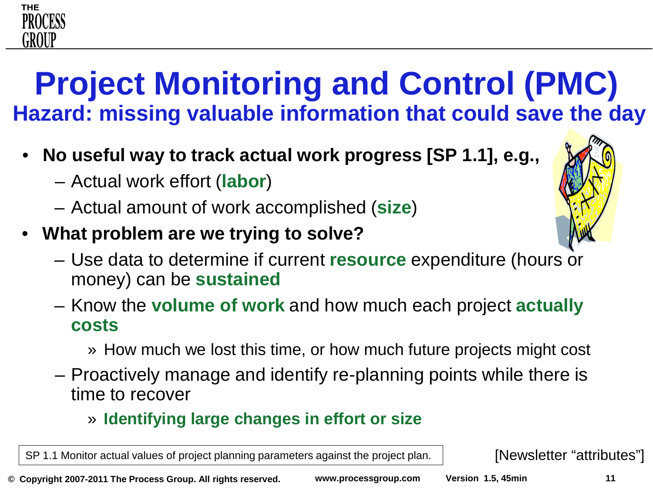# **Project Monitoring and Control (PMC) Hazard: missing valuable information that could save the day**

- **No useful way to track actual work progress [SP 1.1], e.g.,**
	- Actual work effort (**labor**)

**THE** 

PROCESS

GROUF

- Actual amount of work accomplished (**size**)
- **What problem are we trying to solve?**



- Know the **volume of work** and how much each project **actually costs**
	- » How much we lost this time, or how much future projects might cost
- Proactively manage and identify re-planning points while there is time to recover

#### » **Identifying large changes in effort or size**

SP 1.1 Monitor actual values of project planning parameters against the project plan. [Newsletter "attributes"]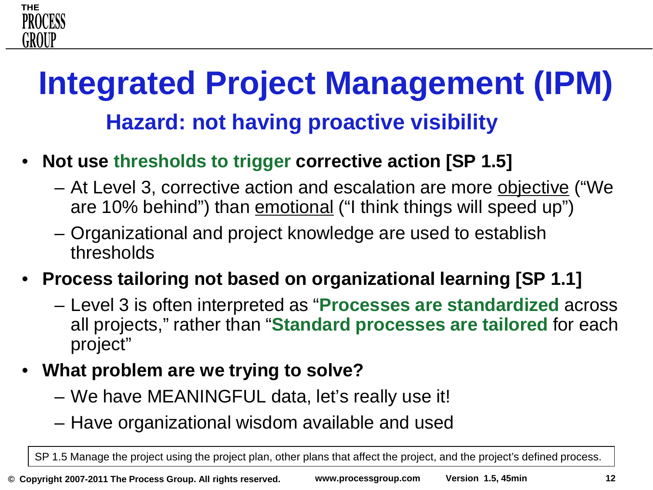# **Integrated Project Management (IPM) Hazard: not having proactive visibility**

- **Not use thresholds to trigger corrective action [SP 1.5]**
	- At Level 3, corrective action and escalation are more objective ("We are 10% behind") than emotional ("I think things will speed up")
	- Organizational and project knowledge are used to establish thresholds
- **Process tailoring not based on organizational learning [SP 1.1]**
	- Level 3 is often interpreted as "**Processes are standardized** across all projects," rather than "**Standard processes are tailored** for each project"
- **What problem are we trying to solve?**
	- We have MEANINGFUL data, let's really use it!
	- Have organizational wisdom available and used

SP 1.5 Manage the project using the project plan, other plans that affect the project, and the project's defined process.

**THE** 

GROUI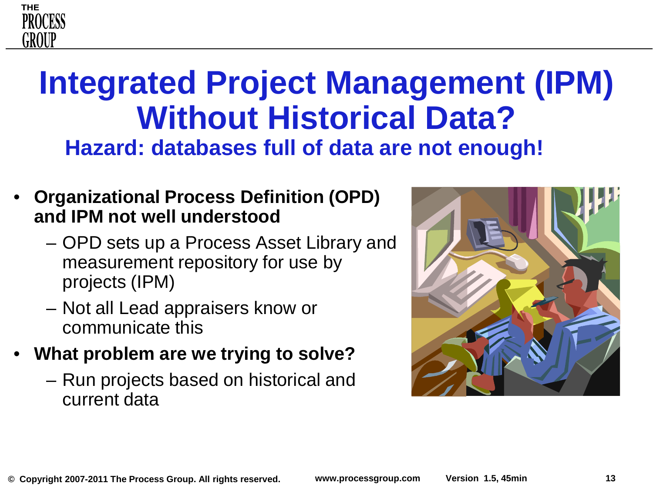# **Integrated Project Management (IPM) Without Historical Data? Hazard: databases full of data are not enough!**

- **Organizational Process Definition (OPD) and IPM not well understood**
	- OPD sets up a Process Asset Library and measurement repository for use by projects (IPM)
	- Not all Lead appraisers know or communicate this
- **What problem are we trying to solve?**
	- Run projects based on historical and current data



**THE** 

PROCESS

GROUF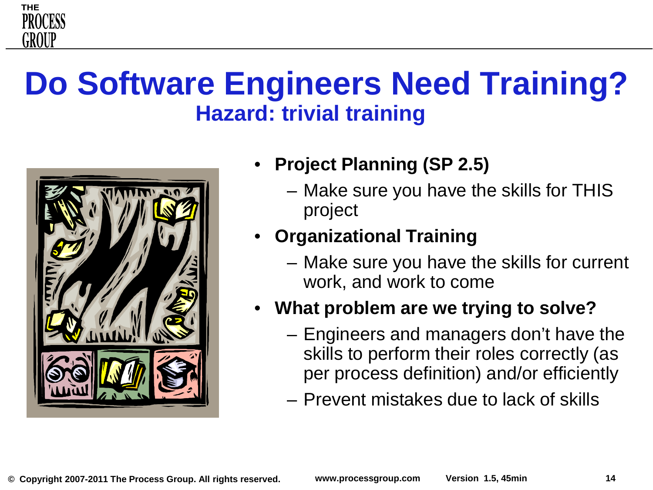

# **Do Software Engineers Need Training? Hazard: trivial training**



- **Project Planning (SP 2.5)**
	- Make sure you have the skills for THIS project
- **Organizational Training**
	- Make sure you have the skills for current work, and work to come
- **What problem are we trying to solve?**
	- Engineers and managers don't have the skills to perform their roles correctly (as per process definition) and/or efficiently
	- Prevent mistakes due to lack of skills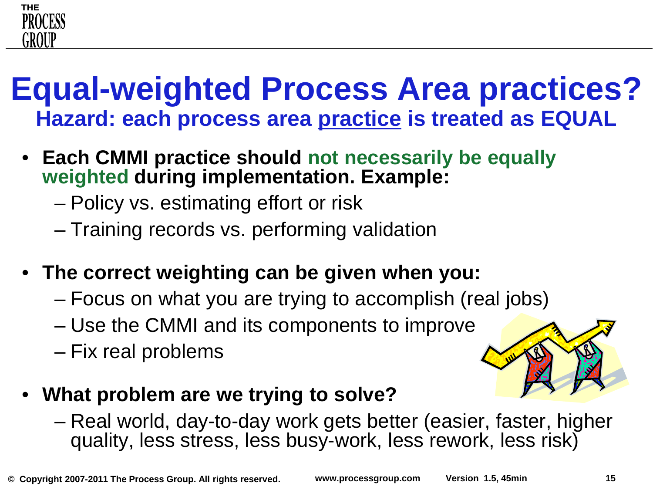

### **Equal-weighted Process Area practices? Hazard: each process area practice is treated as EQUAL**

- **Each CMMI practice should not necessarily be equally weighted during implementation. Example:** 
	- Policy vs. estimating effort or risk
	- Training records vs. performing validation
- **The correct weighting can be given when you:**
	- Focus on what you are trying to accomplish (real jobs)
	- Use the CMMI and its components to improve
	- Fix real problems



- **What problem are we trying to solve?**
	- Real world, day-to-day work gets better (easier, faster, higher quality, less stress, less busy-work, less rework, less risk)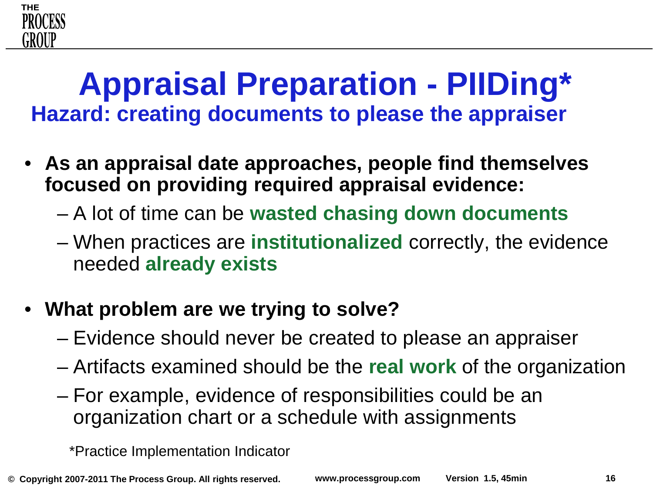### **Appraisal Preparation - PIIDing\* Hazard: creating documents to please the appraiser**

- **As an appraisal date approaches, people find themselves focused on providing required appraisal evidence:**
	- A lot of time can be **wasted chasing down documents**
	- When practices are **institutionalized** correctly, the evidence needed **already exists**
- **What problem are we trying to solve?**
	- Evidence should never be created to please an appraiser
	- Artifacts examined should be the **real work** of the organization
	- For example, evidence of responsibilities could be an organization chart or a schedule with assignments

\*Practice Implementation Indicator

**THE** 

PROCESS

GROUF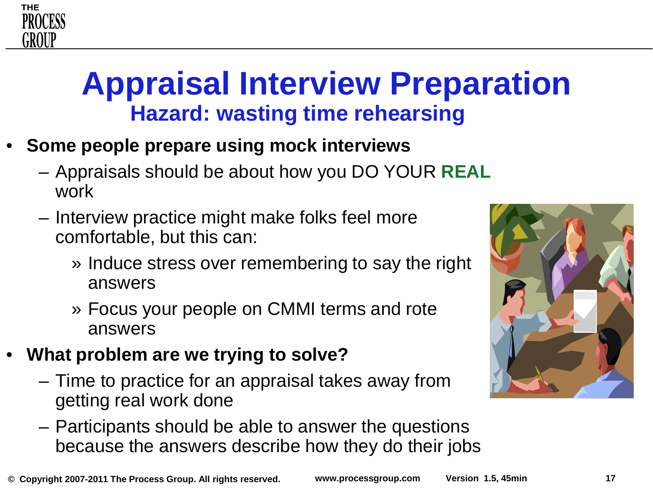# **Appraisal Interview Preparation Hazard: wasting time rehearsing**

- **Some people prepare using mock interviews**
	- Appraisals should be about how you DO YOUR **REAL** work
	- Interview practice might make folks feel more comfortable, but this can:
		- » Induce stress over remembering to say the right answers
		- » Focus your people on CMMI terms and rote answers
- **What problem are we trying to solve?**
	- Time to practice for an appraisal takes away from getting real work done
	- Participants should be able to answer the questions because the answers describe how they do their jobs